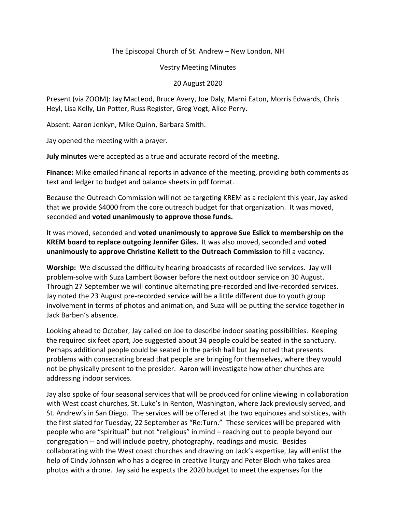## The Episcopal Church of St. Andrew – New London, NH

Vestry Meeting Minutes

## 20 August 2020

Present (via ZOOM): Jay MacLeod, Bruce Avery, Joe Daly, Marni Eaton, Morris Edwards, Chris Heyl, Lisa Kelly, Lin Potter, Russ Register, Greg Vogt, Alice Perry.

Absent: Aaron Jenkyn, Mike Quinn, Barbara Smith.

Jay opened the meeting with a prayer.

**July minutes** were accepted as a true and accurate record of the meeting.

**Finance:** Mike emailed financial reports in advance of the meeting, providing both comments as text and ledger to budget and balance sheets in pdf format.

Because the Outreach Commission will not be targeting KREM as a recipient this year, Jay asked that we provide \$4000 from the core outreach budget for that organization. It was moved, seconded and **voted unanimously to approve those funds.**

It was moved, seconded and **voted unanimously to approve Sue Eslick to membership on the KREM board to replace outgoing Jennifer Giles.** It was also moved, seconded and **voted unanimously to approve Christine Kellett to the Outreach Commission** to fill a vacancy.

**Worship:** We discussed the difficulty hearing broadcasts of recorded live services. Jay will problem-solve with Suza Lambert Bowser before the next outdoor service on 30 August. Through 27 September we will continue alternating pre-recorded and live-recorded services. Jay noted the 23 August pre-recorded service will be a little different due to youth group involvement in terms of photos and animation, and Suza will be putting the service together in Jack Barben's absence.

Looking ahead to October, Jay called on Joe to describe indoor seating possibilities. Keeping the required six feet apart, Joe suggested about 34 people could be seated in the sanctuary. Perhaps additional people could be seated in the parish hall but Jay noted that presents problems with consecrating bread that people are bringing for themselves, where they would not be physically present to the presider. Aaron will investigate how other churches are addressing indoor services.

Jay also spoke of four seasonal services that will be produced for online viewing in collaboration with West coast churches, St. Luke's in Renton, Washington, where Jack previously served, and St. Andrew's in San Diego. The services will be offered at the two equinoxes and solstices, with the first slated for Tuesday, 22 September as "Re:Turn." These services will be prepared with people who are "spiritual" but not "religious" in mind – reaching out to people beyond our congregation -- and will include poetry, photography, readings and music. Besides collaborating with the West coast churches and drawing on Jack's expertise, Jay will enlist the help of Cindy Johnson who has a degree in creative liturgy and Peter Bloch who takes area photos with a drone. Jay said he expects the 2020 budget to meet the expenses for the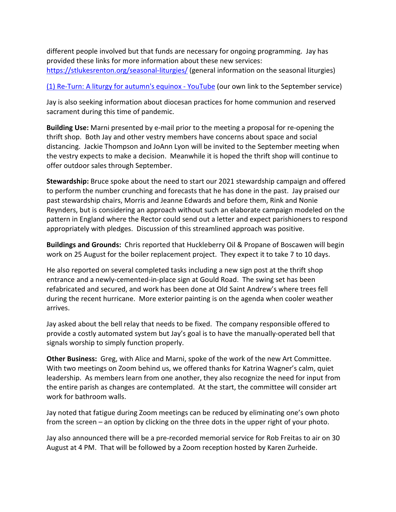different people involved but that funds are necessary for ongoing programming. Jay has provided these links for more information about these new services: https://stlukesrenton.org/seasonal-liturgies/ (general information on the seasonal liturgies)

(1) Re-Turn: A liturgy for autumn's equinox - YouTube (our own link to the September service)

Jay is also seeking information about diocesan practices for home communion and reserved sacrament during this time of pandemic.

**Building Use:** Marni presented by e-mail prior to the meeting a proposal for re-opening the thrift shop. Both Jay and other vestry members have concerns about space and social distancing. Jackie Thompson and JoAnn Lyon will be invited to the September meeting when the vestry expects to make a decision. Meanwhile it is hoped the thrift shop will continue to offer outdoor sales through September.

**Stewardship:** Bruce spoke about the need to start our 2021 stewardship campaign and offered to perform the number crunching and forecasts that he has done in the past. Jay praised our past stewardship chairs, Morris and Jeanne Edwards and before them, Rink and Nonie Reynders, but is considering an approach without such an elaborate campaign modeled on the pattern in England where the Rector could send out a letter and expect parishioners to respond appropriately with pledges. Discussion of this streamlined approach was positive.

**Buildings and Grounds:** Chris reported that Huckleberry Oil & Propane of Boscawen will begin work on 25 August for the boiler replacement project. They expect it to take 7 to 10 days.

He also reported on several completed tasks including a new sign post at the thrift shop entrance and a newly-cemented-in-place sign at Gould Road. The swing set has been refabricated and secured, and work has been done at Old Saint Andrew's where trees fell during the recent hurricane. More exterior painting is on the agenda when cooler weather arrives.

Jay asked about the bell relay that needs to be fixed. The company responsible offered to provide a costly automated system but Jay's goal is to have the manually-operated bell that signals worship to simply function properly.

**Other Business:** Greg, with Alice and Marni, spoke of the work of the new Art Committee. With two meetings on Zoom behind us, we offered thanks for Katrina Wagner's calm, quiet leadership. As members learn from one another, they also recognize the need for input from the entire parish as changes are contemplated. At the start, the committee will consider art work for bathroom walls.

Jay noted that fatigue during Zoom meetings can be reduced by eliminating one's own photo from the screen – an option by clicking on the three dots in the upper right of your photo.

Jay also announced there will be a pre-recorded memorial service for Rob Freitas to air on 30 August at 4 PM. That will be followed by a Zoom reception hosted by Karen Zurheide.